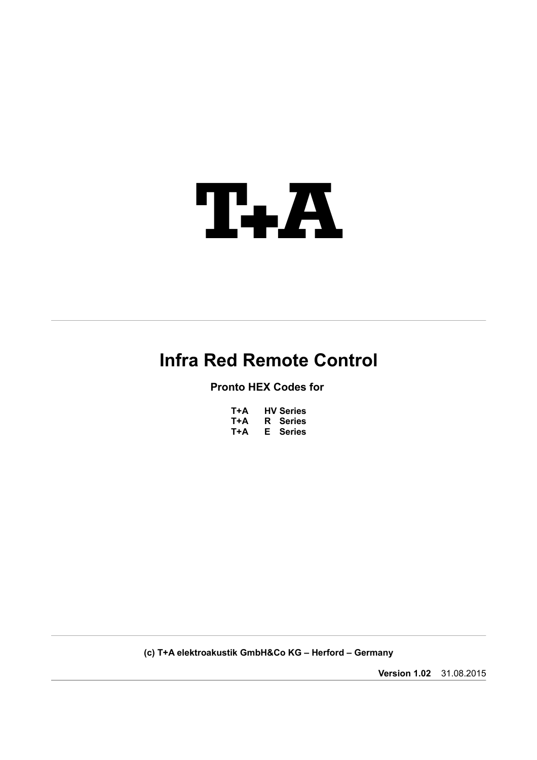

# **Infra Red Remote Control**

**Pronto HEX Codes for** 

| T+A | <b>HV Series</b> |
|-----|------------------|
| T+A | <b>R</b> Series  |
| T+A | E Series         |

**(c) T+A elektroakustik GmbH&Co KG – Herford – Germany**

**Version 1.02** 31.08.2015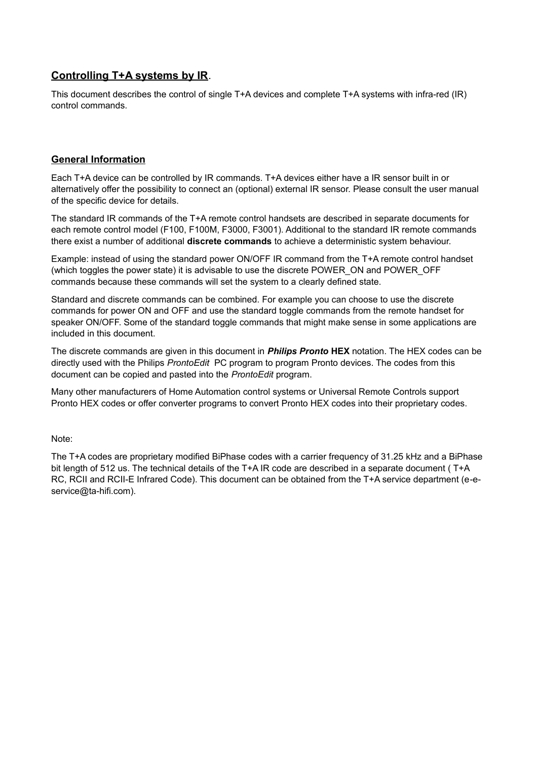# **Controlling T+A systems by IR**.

This document describes the control of single T+A devices and complete T+A systems with infra-red (IR) control commands.

## **General Information**

Each T+A device can be controlled by IR commands. T+A devices either have a IR sensor built in or alternatively offer the possibility to connect an (optional) external IR sensor. Please consult the user manual of the specific device for details.

The standard IR commands of the T+A remote control handsets are described in separate documents for each remote control model (F100, F100M, F3000, F3001). Additional to the standard IR remote commands there exist a number of additional **discrete commands** to achieve a deterministic system behaviour.

Example: instead of using the standard power ON/OFF IR command from the T+A remote control handset (which toggles the power state) it is advisable to use the discrete POWER\_ON and POWER\_OFF commands because these commands will set the system to a clearly defined state.

Standard and discrete commands can be combined. For example you can choose to use the discrete commands for power ON and OFF and use the standard toggle commands from the remote handset for speaker ON/OFF. Some of the standard toggle commands that might make sense in some applications are included in this document.

The discrete commands are given in this document in *Philips Pronto* **HEX** notation. The HEX codes can be directly used with the Philips *ProntoEdit* PC program to program Pronto devices. The codes from this document can be copied and pasted into the *ProntoEdit* program.

Many other manufacturers of Home Automation control systems or Universal Remote Controls support Pronto HEX codes or offer converter programs to convert Pronto HEX codes into their proprietary codes.

Note:

The T+A codes are proprietary modified BiPhase codes with a carrier frequency of 31.25 kHz and a BiPhase bit length of 512 us. The technical details of the T+A IR code are described in a separate document ( T+A RC, RCII and RCII-E Infrared Code). This document can be obtained from the T+A service department (e-eservice@ta-hifi.com).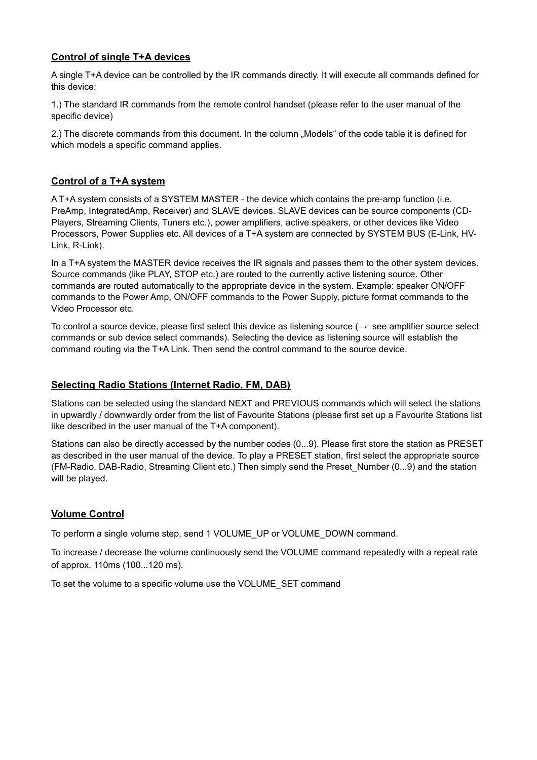# **Control of single T+A devices**

A single T+A device can be controlled by the IR commands directly. It will execute all commands defined for this device:

1.) The standard IR commands from the remote control handset (please refer to the user manual of the specific device)

2.) The discrete commands from this document. In the column "Models" of the code table it is defined for which models a specific command applies.

# **Control of a T+A system**

A T+A system consists of a SYSTEM MASTER - the device which contains the pre-amp function (i.e. PreAmp, IntegratedAmp, Receiver) and SLAVE devices. SLAVE devices can be source components (CD-Players, Streaming Clients, Tuners etc.), power amplifiers, active speakers, or other devices like Video Processors, Power Supplies etc. All devices of a T+A system are connected by SYSTEM BUS (E-Link, HV-Link, R-Link).

In a T+A system the MASTER device receives the IR signals and passes them to the other system devices. Source commands (like PLAY, STOP etc.) are routed to the currently active listening source. Other commands are routed automatically to the appropriate device in the system. Example: speaker ON/OFF commands to the Power Amp, ON/OFF commands to the Power Supply, picture format commands to the Video Processor etc.

To control a source device, please first select this device as listening source  $(\rightarrow$  see amplifier source select commands or sub device select commands). Selecting the device as listening source will establish the command routing via the T+A Link. Then send the control command to the source device.

# **Selecting Radio Stations (Internet Radio, FM, DAB)**

Stations can be selected using the standard NEXT and PREVIOUS commands which will select the stations in upwardly / downwardly order from the list of Favourite Stations (please first set up a Favourite Stations list like described in the user manual of the T+A component).

Stations can also be directly accessed by the number codes (0...9). Please first store the station as PRESET as described in the user manual of the device. To play a PRESET station, first select the appropriate source (FM-Radio, DAB-Radio, Streaming Client etc.) Then simply send the Preset\_Number (0...9) and the station will be played.

## **Volume Control**

To perform a single volume step, send 1 VOLUME\_UP or VOLUME\_DOWN command.

To increase / decrease the volume continuously send the VOLUME command repeatedly with a repeat rate of approx. 110ms (100...120 ms).

To set the volume to a specific volume use the VOLUME\_SET command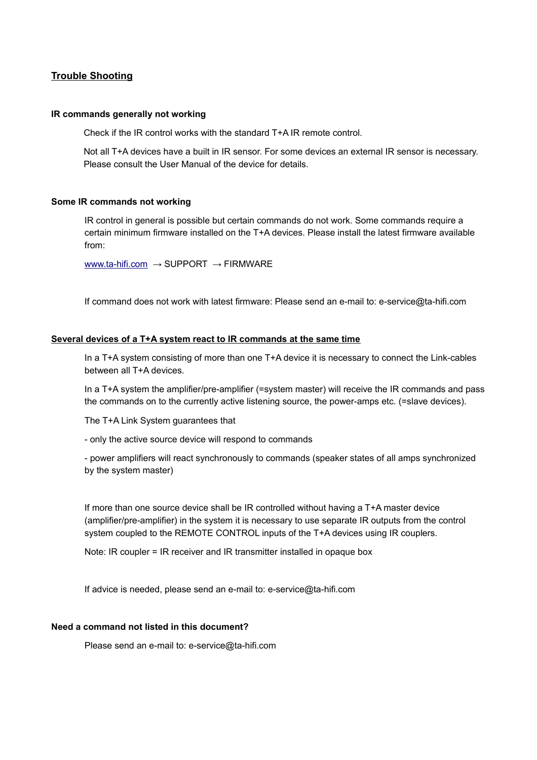## **Trouble Shooting**

#### **IR commands generally not working**

Check if the IR control works with the standard T+A IR remote control.

Not all T+A devices have a built in IR sensor. For some devices an external IR sensor is necessary. Please consult the User Manual of the device for details.

#### **Some IR commands not working**

IR control in general is possible but certain commands do not work. Some commands require a certain minimum firmware installed on the T+A devices. Please install the latest firmware available from:

[www.ta-hifi.com](http://www.ta-hifi.com/) → SUPPORT → FIRMWARE

If command does not work with latest firmware: Please send an e-mail to: e-service@ta-hifi.com

#### **Several devices of a T+A system react to IR commands at the same time**

In a T+A system consisting of more than one T+A device it is necessary to connect the Link-cables between all T+A devices.

In a T+A system the amplifier/pre-amplifier (=system master) will receive the IR commands and pass the commands on to the currently active listening source, the power-amps etc. (=slave devices).

The T+A Link System guarantees that

- only the active source device will respond to commands

- power amplifiers will react synchronously to commands (speaker states of all amps synchronized by the system master)

If more than one source device shall be IR controlled without having a T+A master device (amplifier/pre-amplifier) in the system it is necessary to use separate IR outputs from the control system coupled to the REMOTE CONTROL inputs of the T+A devices using IR couplers.

Note: IR coupler = IR receiver and IR transmitter installed in opaque box

If advice is needed, please send an e-mail to: e-service@ta-hifi.com

#### **Need a command not listed in this document?**

Please send an e-mail to: e-service@ta-hifi.com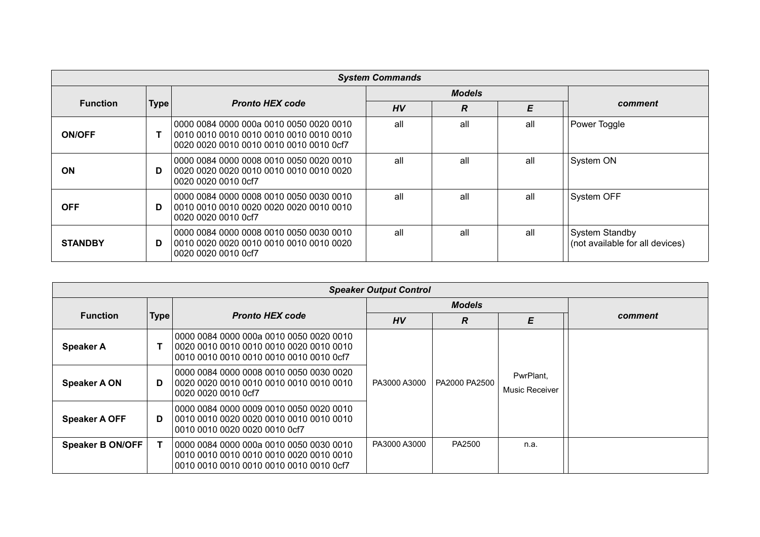|                 | <b>System Commands</b> |                                                                                                                               |     |               |     |                                                          |  |
|-----------------|------------------------|-------------------------------------------------------------------------------------------------------------------------------|-----|---------------|-----|----------------------------------------------------------|--|
|                 |                        |                                                                                                                               |     | <b>Models</b> |     |                                                          |  |
| <b>Function</b> | <b>Type</b>            | <b>Pronto HEX code</b>                                                                                                        | HV  | R             | E   | comment                                                  |  |
| <b>ON/OFF</b>   |                        | 0000 0084 0000 000a 0010 0050 0020 0010<br>0010 0010 0010 0010 0010 0010 0010 0010<br>0020 0020 0010 0010 0010 0010 0010 0cf7 | all | all           | all | Power Toggle                                             |  |
| <b>ON</b>       | D                      | 0000 0084 0000 0008 0010 0050 0020 0010<br>0020 0020 0020 0010 0010 0010 0010 0020<br>0020 0020 0010 0cf7                     | all | all           | all | System ON                                                |  |
| <b>OFF</b>      | D                      | 0000 0084 0000 0008 0010 0050 0030 0010<br>0020 0020 0010 0cf7                                                                | all | all           | all | <b>System OFF</b>                                        |  |
| <b>STANDBY</b>  | D                      | 0000 0084 0000 0008 0010 0050 0030 0010<br>  0010 0020 0020 0010 0010 0010 0010 0020  <br>0020 0020 0010 0cf7                 | all | all           | all | <b>System Standby</b><br>(not available for all devices) |  |

|                      | <b>Speaker Output Control</b> |                                                                                    |              |               |                             |         |  |
|----------------------|-------------------------------|------------------------------------------------------------------------------------|--------------|---------------|-----------------------------|---------|--|
|                      |                               |                                                                                    |              | <b>Models</b> |                             |         |  |
| <b>Function</b>      | Type                          | <b>Pronto HEX code</b>                                                             | HV           | R             | E                           | comment |  |
| <b>Speaker A</b>     |                               | 0000 0084 0000 000a 0010 0050 0020 0010<br>0010 0010 0010 0010 0010 0010 0010 0cf7 |              |               |                             |         |  |
| <b>Speaker A ON</b>  | D                             | 0000 0084 0000 0008 0010 0050 0030 0020<br>0020 0020 0010 0cf7                     | PA3000 A3000 | PA2000 PA2500 | PwrPlant,<br>Music Receiver |         |  |
| <b>Speaker A OFF</b> | D                             | 0000 0084 0000 0009 0010 0050 0020 0010<br>0010 0010 0020 0020 0010 0cf7           |              |               |                             |         |  |
| Speaker B ON/OFF     | Т                             | 0000 0084 0000 000a 0010 0050 0030 0010<br>0010 0010 0010 0010 0010 0010 0010 0cf7 | PA3000 A3000 | PA2500        | n.a.                        |         |  |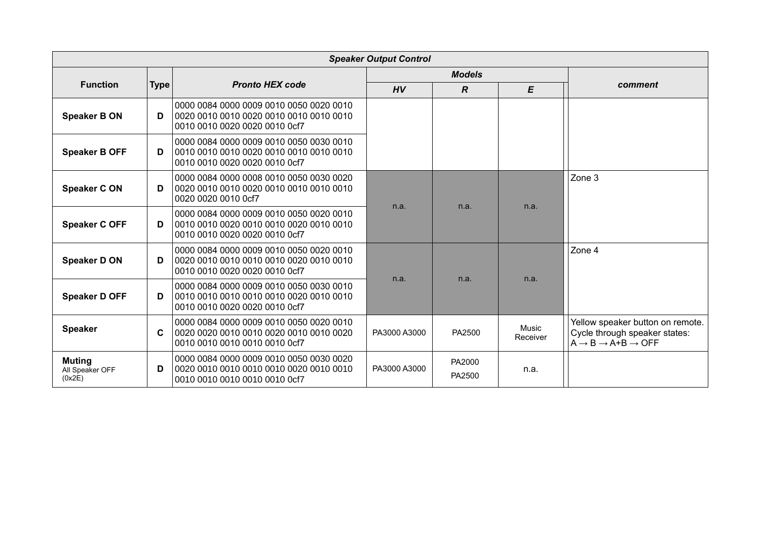|                                            | <b>Speaker Output Control</b> |                                                                                                                     |              |                  |                   |                                                                                                                        |  |  |
|--------------------------------------------|-------------------------------|---------------------------------------------------------------------------------------------------------------------|--------------|------------------|-------------------|------------------------------------------------------------------------------------------------------------------------|--|--|
|                                            |                               |                                                                                                                     |              | <b>Models</b>    |                   |                                                                                                                        |  |  |
| <b>Function</b>                            | <b>Type</b>                   | <b>Pronto HEX code</b>                                                                                              | HV           | $\boldsymbol{R}$ | $\pmb{E}$         | comment                                                                                                                |  |  |
| <b>Speaker B ON</b>                        | D                             | 0000 0084 0000 0009 0010 0050 0020 0010<br>0010 0010 0020 0020 0010 0cf7                                            |              |                  |                   |                                                                                                                        |  |  |
| <b>Speaker B OFF</b>                       | D                             | 0000 0084 0000 0009 0010 0050 0030 0010<br>0010 0010 0020 0020 0010 0cf7                                            |              |                  |                   |                                                                                                                        |  |  |
| <b>Speaker CON</b>                         | D                             | 0000 0084 0000 0008 0010 0050 0030 0020<br>0020 0020 0010 0cf7                                                      |              |                  | n.a.              | Zone 3                                                                                                                 |  |  |
| <b>Speaker C OFF</b>                       | D                             | 0000 0084 0000 0009 0010 0050 0020 0010<br>0010 0010 0020 0020 0010 0cf7                                            | n.a.         |                  | n.a.              |                                                                                                                        |  |  |
| <b>Speaker D ON</b>                        | D                             | 0000 0084 0000 0009 0010 0050 0020 0010<br>0010 0010 0020 0020 0010 0cf7                                            |              | n.a.             | n.a.              | Zone 4                                                                                                                 |  |  |
| <b>Speaker D OFF</b>                       | D                             | 0000 0084 0000 0009 0010 0050 0030 0010<br>0010 0010 0020 0020 0010 0cf7                                            | n.a.         |                  |                   |                                                                                                                        |  |  |
| <b>Speaker</b>                             | C                             | 0000 0084 0000 0009 0010 0050 0020 0010<br>0020 0020 0010 0010 0020 0010 0010 0020<br>0010 0010 0010 0010 0010 0cf7 | PA3000 A3000 | PA2500           | Music<br>Receiver | Yellow speaker button on remote.<br>Cycle through speaker states:<br>$A \rightarrow B \rightarrow A+B \rightarrow OFF$ |  |  |
| <b>Muting</b><br>All Speaker OFF<br>(0x2E) | D                             | 0000 0084 0000 0009 0010 0050 0030 0020<br>0010 0010 0010 0010 0010 0cf7                                            | PA3000 A3000 | PA2000<br>PA2500 | n.a.              |                                                                                                                        |  |  |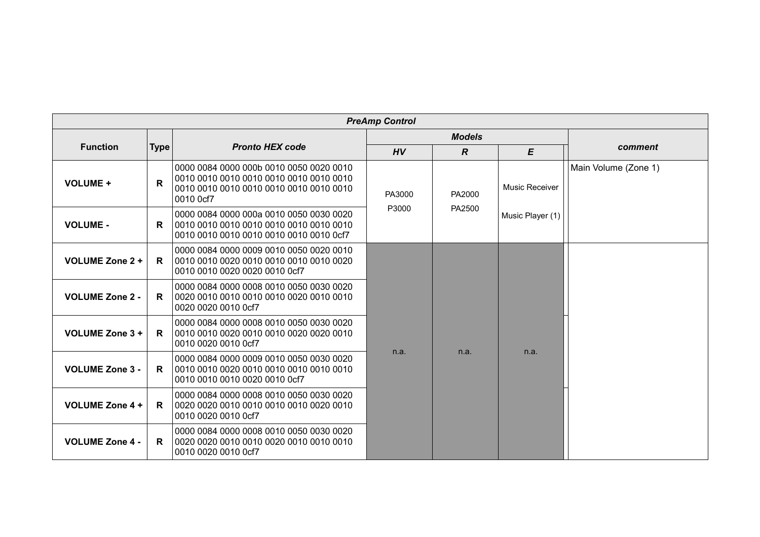|                        | <b>PreAmp Control</b> |                                                                                                                                            |        |                |                  |                      |  |  |
|------------------------|-----------------------|--------------------------------------------------------------------------------------------------------------------------------------------|--------|----------------|------------------|----------------------|--|--|
|                        |                       |                                                                                                                                            |        | <b>Models</b>  |                  |                      |  |  |
| <b>Function</b>        | <b>Type</b>           | <b>Pronto HEX code</b>                                                                                                                     | HV     | $\overline{R}$ | E                | comment              |  |  |
| <b>VOLUME +</b>        | $\mathsf{R}$          | 0000 0084 0000 000b 0010 0050 0020 0010<br>0010 0010 0010 0010 0010 0010 0010 0010<br>0010 0010 0010 0010 0010 0010 0010 0010<br>0010 0cf7 | PA3000 | PA2000         | Music Receiver   | Main Volume (Zone 1) |  |  |
| <b>VOLUME -</b>        | R.                    | 0000 0084 0000 000a 0010 0050 0030 0020<br>0010 0010 0010 0010 0010 0010 0010 0010<br>0010 0010 0010 0010 0010 0010 0010 0cf7              | P3000  | PA2500         | Music Player (1) |                      |  |  |
| <b>VOLUME Zone 2 +</b> | R                     | 0000 0084 0000 0009 0010 0050 0020 0010<br>0010 0010 0020 0010 0010 0010 0010 0020<br>0010 0010 0020 0020 0010 0cf7                        |        |                |                  |                      |  |  |
| <b>VOLUME Zone 2 -</b> | R.                    | 0000 0084 0000 0008 0010 0050 0030 0020<br>0020 0020 0010 0cf7                                                                             |        |                |                  |                      |  |  |
| <b>VOLUME Zone 3 +</b> | R.                    | 0000 0084 0000 0008 0010 0050 0030 0020<br>0010 0010 0020 0010 0010 0020 0020 0010<br>0010 0020 0010 0cf7                                  |        |                |                  |                      |  |  |
| <b>VOLUME Zone 3 -</b> | R.                    | 0000 0084 0000 0009 0010 0050 0030 0020<br>0010 0010 0010 0020 0010 0cf7                                                                   | n.a.   | n.a.           | n.a.             |                      |  |  |
| <b>VOLUME Zone 4 +</b> | R.                    | 0000 0084 0000 0008 0010 0050 0030 0020<br>0020 0020 0010 0010 0010 0010 0020 0010<br>0010 0020 0010 0cf7                                  |        |                |                  |                      |  |  |
| <b>VOLUME Zone 4 -</b> | R.                    | 0000 0084 0000 0008 0010 0050 0030 0020<br>0010 0020 0010 0cf7                                                                             |        |                |                  |                      |  |  |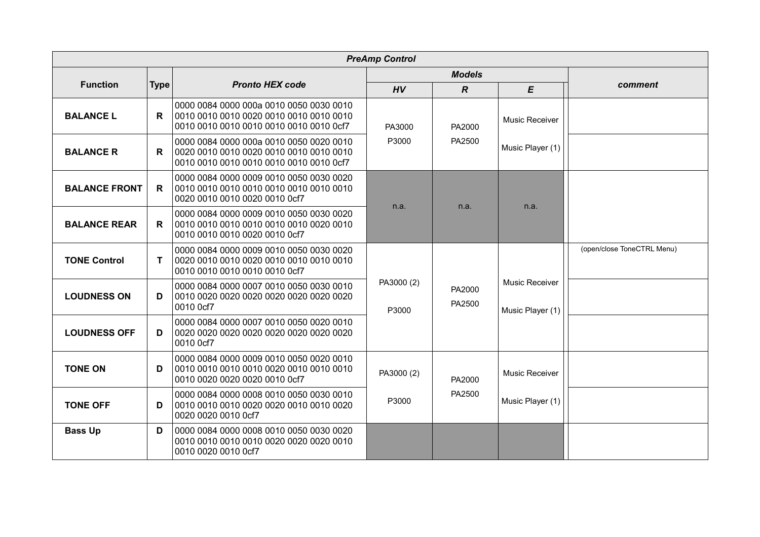|                      | <b>PreAmp Control</b> |                                                                                                                     |                     |                  |                                           |                            |  |  |
|----------------------|-----------------------|---------------------------------------------------------------------------------------------------------------------|---------------------|------------------|-------------------------------------------|----------------------------|--|--|
|                      |                       |                                                                                                                     |                     | <b>Models</b>    |                                           |                            |  |  |
| <b>Function</b>      | Type                  | <b>Pronto HEX code</b>                                                                                              | HV                  | $\overline{R}$   | E                                         | comment                    |  |  |
| <b>BALANCE L</b>     | R.                    | 0000 0084 0000 000a 0010 0050 0030 0010<br>0010 0010 0010 0010 0010 0010 0010 0cf7                                  | PA3000              | PA2000           | <b>Music Receiver</b>                     |                            |  |  |
| <b>BALANCE R</b>     | $\mathsf{R}$          | 0000 0084 0000 000a 0010 0050 0020 0010<br>0010 0010 0010 0010 0010 0010 0010 0cf7                                  | P3000               | PA2500           | Music Player (1)                          |                            |  |  |
| <b>BALANCE FRONT</b> | R.                    | 0000 0084 0000 0009 0010 0050 0030 0020<br>0010 0010 0010 0010 0010 0010 0010 0010<br>0020 0010 0010 0020 0010 0cf7 |                     |                  |                                           |                            |  |  |
| <b>BALANCE REAR</b>  | R                     | 0000 0084 0000 0009 0010 0050 0030 0020<br>0010 0010 0010 0010 0010 0010 0020 0010<br>0010 0010 0010 0020 0010 0cf7 | n.a.                | n.a.             | n.a.                                      |                            |  |  |
| <b>TONE Control</b>  | T                     | 0000 0084 0000 0009 0010 0050 0030 0020<br>0010 0010 0010 0010 0010 0cf7                                            |                     |                  |                                           | (open/close ToneCTRL Menu) |  |  |
| <b>LOUDNESS ON</b>   | D                     | 0000 0084 0000 0007 0010 0050 0030 0010<br>0010 0cf7                                                                | PA3000 (2)<br>P3000 | PA2000<br>PA2500 | <b>Music Receiver</b><br>Music Player (1) |                            |  |  |
| <b>LOUDNESS OFF</b>  | D                     | 0000 0084 0000 0007 0010 0050 0020 0010<br>0020 0020 0020 0020 0020 0020 0020 0020<br>0010 0cf7                     |                     |                  |                                           |                            |  |  |
| <b>TONE ON</b>       | D                     | 0000 0084 0000 0009 0010 0050 0020 0010<br>0010 0020 0020 0020 0010 0cf7                                            | PA3000 (2)          | PA2000           | <b>Music Receiver</b>                     |                            |  |  |
| <b>TONE OFF</b>      | D                     | 0000 0084 0000 0008 0010 0050 0030 0010<br>0010 0010 0010 0020 0020 0010 0010 0020<br>0020 0020 0010 0cf7           | P3000               | PA2500           | Music Player (1)                          |                            |  |  |
| <b>Bass Up</b>       | D                     | 0000 0084 0000 0008 0010 0050 0030 0020<br>0010 0010 0010 0010 0020 0020 0020 0010<br>0010 0020 0010 0cf7           |                     |                  |                                           |                            |  |  |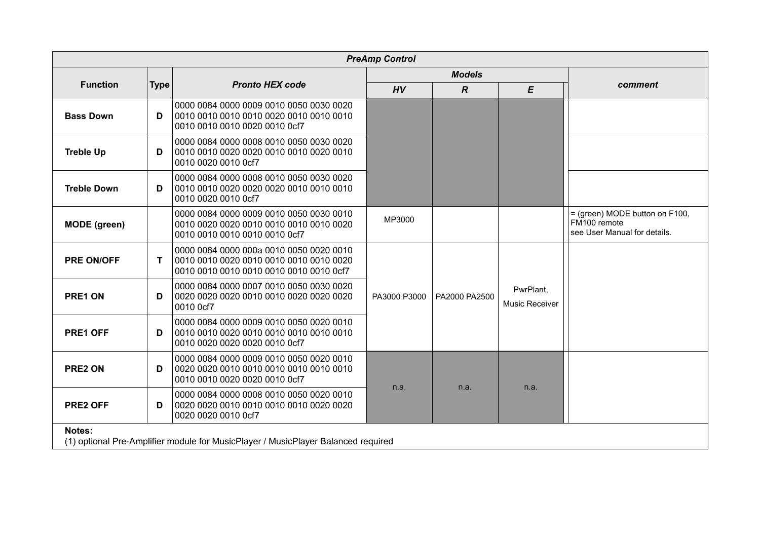|                     |             |                                                                                                                               | <b>PreAmp Control</b> |                  |                             |                                                                                |
|---------------------|-------------|-------------------------------------------------------------------------------------------------------------------------------|-----------------------|------------------|-----------------------------|--------------------------------------------------------------------------------|
|                     |             |                                                                                                                               |                       | <b>Models</b>    |                             |                                                                                |
| <b>Function</b>     | <b>Type</b> | <b>Pronto HEX code</b>                                                                                                        | HV                    | $\boldsymbol{R}$ | E                           | comment                                                                        |
| <b>Bass Down</b>    | D           | 0000 0084 0000 0009 0010 0050 0030 0020<br>0010 0010 0010 0020 0010 0cf7                                                      |                       |                  |                             |                                                                                |
| <b>Treble Up</b>    | D           | 0000 0084 0000 0008 0010 0050 0030 0020<br>0010 0010 0020 0020 0010 0010 0020 0010<br>0010 0020 0010 0cf7                     |                       |                  |                             |                                                                                |
| <b>Treble Down</b>  | D           | 0000 0084 0000 0008 0010 0050 0030 0020<br>0010 0020 0010 0cf7                                                                |                       |                  |                             |                                                                                |
| <b>MODE</b> (green) |             | 0000 0084 0000 0009 0010 0050 0030 0010<br>0010 0020 0020 0010 0010 0010 0010 0020<br>0010 0010 0010 0010 0010 0cf7           | MP3000                |                  |                             | = (green) MODE button on F100,<br>FM100 remote<br>see User Manual for details. |
| <b>PRE ON/OFF</b>   | T           | 0000 0084 0000 000a 0010 0050 0020 0010<br>0010 0010 0020 0010 0010 0010 0010 0020<br>0010 0010 0010 0010 0010 0010 0010 0cf7 |                       |                  |                             |                                                                                |
| PRE1 ON             | D           | 0000 0084 0000 0007 0010 0050 0030 0020<br>0010 0cf7                                                                          | PA3000 P3000          | PA2000 PA2500    | PwrPlant,<br>Music Receiver |                                                                                |
| PRE1 OFF            | D           | 0000 0084 0000 0009 0010 0050 0020 0010<br>0010 0020 0020 0020 0010 0cf7                                                      |                       |                  |                             |                                                                                |
| PRE2 ON             | D           | 0000 0084 0000 0009 0010 0050 0020 0010<br>0010 0010 0020 0020 0010 0cf7                                                      |                       |                  |                             |                                                                                |
| <b>PRE2 OFF</b>     | D           | 0000 0084 0000 0008 0010 0050 0020 0010<br>0020 0020 0010 0cf7                                                                | n.a.                  | n.a.             | n.a.                        |                                                                                |
| Notes:              |             | (1) optional Pre-Amplifier module for MusicPlayer / MusicPlayer Balanced required                                             |                       |                  |                             |                                                                                |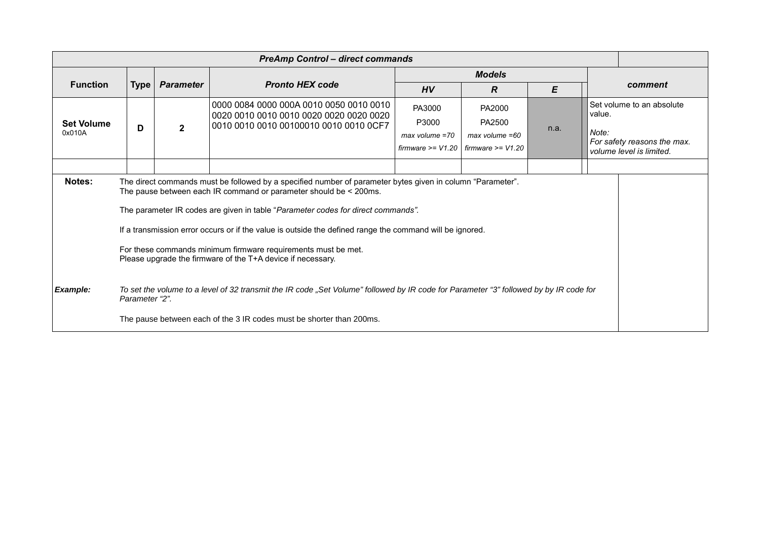| <b>PreAmp Control - direct commands</b> |                |                  |                                                                                                                                                                                                                                                                                                                                                                                                                                                                                                                                                                                                                                                                                                                                  |                                                              |                                                                 |      |                 |                                                                                      |
|-----------------------------------------|----------------|------------------|----------------------------------------------------------------------------------------------------------------------------------------------------------------------------------------------------------------------------------------------------------------------------------------------------------------------------------------------------------------------------------------------------------------------------------------------------------------------------------------------------------------------------------------------------------------------------------------------------------------------------------------------------------------------------------------------------------------------------------|--------------------------------------------------------------|-----------------------------------------------------------------|------|-----------------|--------------------------------------------------------------------------------------|
|                                         |                |                  |                                                                                                                                                                                                                                                                                                                                                                                                                                                                                                                                                                                                                                                                                                                                  |                                                              | <b>Models</b>                                                   |      |                 |                                                                                      |
| <b>Function</b>                         | <b>Type</b>    | <b>Parameter</b> | <b>Pronto HEX code</b>                                                                                                                                                                                                                                                                                                                                                                                                                                                                                                                                                                                                                                                                                                           | HV                                                           | $\overline{R}$                                                  | E    |                 | comment                                                                              |
| <b>Set Volume</b><br>0x010A             | D              | $\mathbf{2}$     | 0000 0084 0000 000A 0010 0050 0010 0010<br>0010 0010 0010 00100010 0010 0010 0CF7                                                                                                                                                                                                                                                                                                                                                                                                                                                                                                                                                                                                                                                | PA3000<br>P3000<br>$max$ volume =70<br>$firmware \geq V1.20$ | PA2000<br>PA2500<br>$max$ volume = $60$<br>$firmware \ge V1.20$ | n.a. | value.<br>Note: | Set volume to an absolute<br>For safety reasons the max.<br>volume level is limited. |
| <b>Notes:</b><br>Example:               | Parameter "2". |                  | The direct commands must be followed by a specified number of parameter bytes given in column "Parameter".<br>The pause between each IR command or parameter should be < 200ms.<br>The parameter IR codes are given in table "Parameter codes for direct commands".<br>If a transmission error occurs or if the value is outside the defined range the command will be ignored.<br>For these commands minimum firmware requirements must be met.<br>Please upgrade the firmware of the T+A device if necessary.<br>To set the volume to a level of 32 transmit the IR code "Set Volume" followed by IR code for Parameter "3" followed by by IR code for<br>The pause between each of the 3 IR codes must be shorter than 200ms. |                                                              |                                                                 |      |                 |                                                                                      |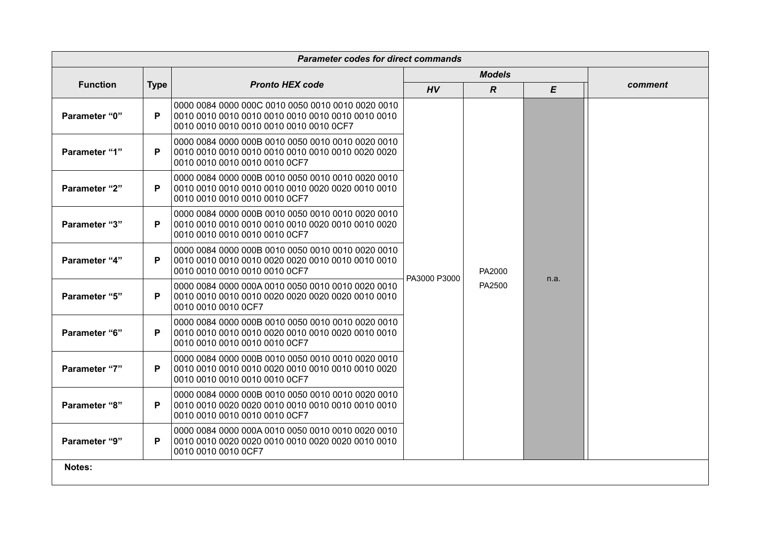|                      | <b>Parameter codes for direct commands</b> |                                                                                                                                                   |              |                  |           |         |  |  |
|----------------------|--------------------------------------------|---------------------------------------------------------------------------------------------------------------------------------------------------|--------------|------------------|-----------|---------|--|--|
|                      |                                            |                                                                                                                                                   |              | <b>Models</b>    |           |         |  |  |
| <b>Function</b>      | <b>Type</b>                                | <b>Pronto HEX code</b>                                                                                                                            | HV           | $\boldsymbol{R}$ | $\pmb{E}$ | comment |  |  |
| <b>Parameter "0"</b> | P                                          | 0000 0084 0000 000C 0010 0050 0010 0010 0020 0010<br>0010 0010 0010 0010 0010 0010 0010 0010 0010 0010<br>0010 0010 0010 0010 0010 0010 0010 0CF7 |              |                  |           |         |  |  |
| Parameter "1"        | P                                          | 0000 0084 0000 000B 0010 0050 0010 0010 0020 0010<br>0010 0010 0010 0010 0010 0010 0010 0010 0020 0020<br>0010 0010 0010 0010 0010 0CF7           |              |                  |           |         |  |  |
| <b>Parameter "2"</b> | P                                          | 0000 0084 0000 000B 0010 0050 0010 0010 0020 0010<br>0010 0010 0010 0010 0010 0CF7                                                                |              |                  |           |         |  |  |
| <b>Parameter "3"</b> | P                                          | 0000 0084 0000 000B 0010 0050 0010 0010 0020 0010<br>0010 0010 0010 0010 0010 0010 0020 0010 0010 0020<br>0010 0010 0010 0010 0010 0CF7           |              |                  |           |         |  |  |
| <b>Parameter "4"</b> | P                                          | 0000 0084 0000 000B 0010 0050 0010 0010 0020 0010<br>0010 0010 0010 0010 0010 0CF7                                                                | PA3000 P3000 | PA2000           |           |         |  |  |
| Parameter "5"        | P                                          | 0000 0084 0000 000A 0010 0050 0010 0010 0020 0010<br>0010 0010 0010 0CF7                                                                          |              | PA2500           |           | n.a.    |  |  |
| Parameter "6"        | P                                          | 0000 0084 0000 000B 0010 0050 0010 0010 0020 0010<br>0010 0010 0010 0010 0020 0010 0010 0020 0010 0010<br>0010 0010 0010 0010 0010 0CF7           |              |                  |           |         |  |  |
| <b>Parameter "7"</b> | P                                          | 0000 0084 0000 000B 0010 0050 0010 0010 0020 0010<br>0010 0010 0010 0010 0010 0CF7                                                                |              |                  |           |         |  |  |
| Parameter "8"        | P                                          | 0000 0084 0000 000B 0010 0050 0010 0010 0020 0010<br>0010 0010 0010 0010 0010 0CF7                                                                |              |                  |           |         |  |  |
| Parameter "9"        | P                                          | 0000 0084 0000 000A 0010 0050 0010 0010 0020 0010<br>0010 0010 0010 0CF7                                                                          |              |                  |           |         |  |  |
| Notes:               |                                            |                                                                                                                                                   |              |                  |           |         |  |  |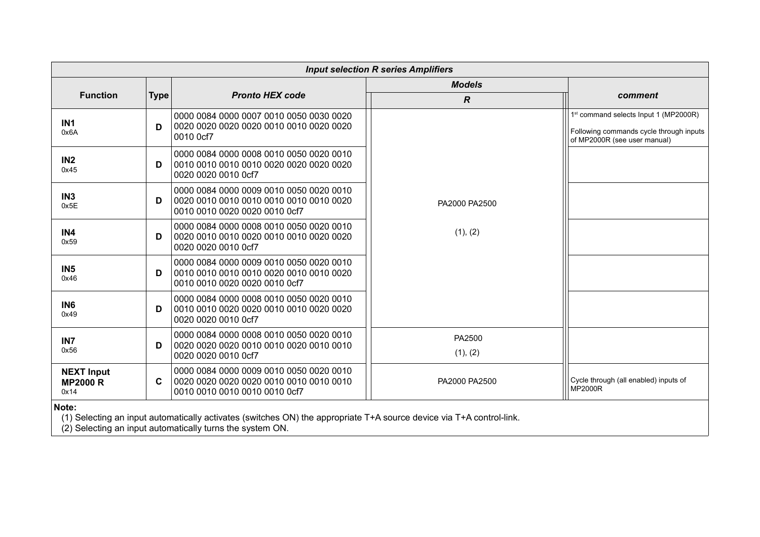|                                              |             |                                                                                                                      | <b>Input selection R series Amplifiers</b> |                                                                                                                              |
|----------------------------------------------|-------------|----------------------------------------------------------------------------------------------------------------------|--------------------------------------------|------------------------------------------------------------------------------------------------------------------------------|
|                                              |             |                                                                                                                      | <b>Models</b>                              |                                                                                                                              |
| <b>Function</b>                              | <b>Type</b> | <b>Pronto HEX code</b>                                                                                               | $\boldsymbol{R}$                           | comment                                                                                                                      |
| IN1<br>0x6A                                  | D           | 0000 0084 0000 0007 0010 0050 0030 0020<br>0010 0cf7                                                                 |                                            | 1 <sup>st</sup> command selects Input 1 (MP2000R)<br>Following commands cycle through inputs<br>of MP2000R (see user manual) |
| IN <sub>2</sub><br>0x45                      | D           | 0000 0084 0000 0008 0010 0050 0020 0010<br>0020 0020 0010 0cf7                                                       |                                            |                                                                                                                              |
| IN <sub>3</sub><br>0x5E                      | D           | 0000 0084 0000 0009 0010 0050 0020 0010<br>0020 0010 0010 0010 0010 0010 0010 0020<br>0010 0010 0020 0020 0010 0cf7  | PA2000 PA2500                              |                                                                                                                              |
| IN4<br>0x59                                  | D           | 0000 0084 0000 0008 0010 0050 0020 0010<br>0020 0020 0010 0cf7                                                       | (1), (2)                                   |                                                                                                                              |
| IN <sub>5</sub><br>0x46                      | D           | 0000 0084 0000 0009 0010 0050 0020 0010<br>0010 0010 0010 0010 0020 0010 0010 0020<br>0010 0010 0020 0020 0010 0cf7  |                                            |                                                                                                                              |
| IN <sub>6</sub><br>0x49                      | D           | 0000 0084 0000 0008 0010 0050 0020 0010<br>0020 0020 0010 0cf7                                                       |                                            |                                                                                                                              |
| IN <sub>7</sub><br>0x56                      | D           | 0000 0084 0000 0008 0010 0050 0020 0010<br>0020 0020 0010 0cf7                                                       | PA2500<br>(1), (2)                         |                                                                                                                              |
| <b>NEXT Input</b><br><b>MP2000 R</b><br>0x14 | C           | 0000 0084 0000 0009 0010 0050 0020 0010<br>0010 0010 0010 0010 0010 0cf7                                             | PA2000 PA2500                              | Cycle through (all enabled) inputs of<br><b>MP2000R</b>                                                                      |
| Note:                                        |             | (1) Selecting an input automatically activates (switches ON) the appropriate T+A source device via T+A control-link. |                                            |                                                                                                                              |

(2) Selecting an input automatically turns the system ON.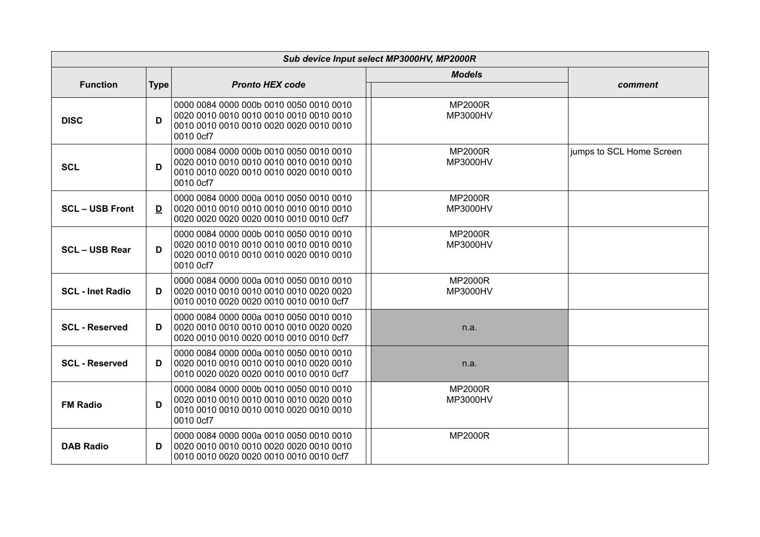|                         | Sub device Input select MP3000HV, MP2000R |                                                                                                                               |                                   |                          |  |  |  |
|-------------------------|-------------------------------------------|-------------------------------------------------------------------------------------------------------------------------------|-----------------------------------|--------------------------|--|--|--|
|                         |                                           |                                                                                                                               | <b>Models</b>                     |                          |  |  |  |
| <b>Function</b>         | <b>Type</b>                               | <b>Pronto HEX code</b>                                                                                                        |                                   | comment                  |  |  |  |
| <b>DISC</b>             | D                                         | 0000 0084 0000 000b 0010 0050 0010 0010<br>0010 0cf7                                                                          | <b>MP2000R</b><br>MP3000HV        |                          |  |  |  |
| <b>SCL</b>              | D                                         | 0000 0084 0000 000b 0010 0050 0010 0010<br>0010 0cf7                                                                          | <b>MP2000R</b><br>MP3000HV        | jumps to SCL Home Screen |  |  |  |
| <b>SCL-USB Front</b>    | D                                         | 0000 0084 0000 000a 0010 0050 0010 0010<br>0020 0020 0020 0020 0010 0010 0010 0cf7                                            | <b>MP2000R</b><br>MP3000HV        |                          |  |  |  |
| <b>SCL-USB Rear</b>     | D                                         | 0000 0084 0000 000b 0010 0050 0010 0010<br>0010 0cf7                                                                          | <b>MP2000R</b><br><b>MP3000HV</b> |                          |  |  |  |
| <b>SCL - Inet Radio</b> | D.                                        | 0000 0084 0000 000a 0010 0050 0010 0010<br>0010 0010 0020 0020 0010 0010 0010 0cf7                                            | <b>MP2000R</b><br>MP3000HV        |                          |  |  |  |
| <b>SCL</b> - Reserved   | D                                         | 0000 0084 0000 000a 0010 0050 0010 0010<br>0020 0010 0010 0020 0010 0010 0010 0cf7                                            | n.a.                              |                          |  |  |  |
| <b>SCL - Reserved</b>   | D                                         | 0000 0084 0000 000a 0010 0050 0010 0010<br>0020 0010 0010 0010 0010 0010 0020 0010<br>0010 0020 0020 0020 0010 0010 0010 0cf7 | n.a.                              |                          |  |  |  |
| <b>FM Radio</b>         | D                                         | 0000 0084 0000 000b 0010 0050 0010 0010<br>0020 0010 0010 0010 0010 0010 0020 0010<br>0010 0cf7                               | <b>MP2000R</b><br>MP3000HV        |                          |  |  |  |
| <b>DAB Radio</b>        | D                                         | 0000 0084 0000 000a 0010 0050 0010 0010<br>0010 0010 0020 0020 0010 0010 0010 0cf7                                            | <b>MP2000R</b>                    |                          |  |  |  |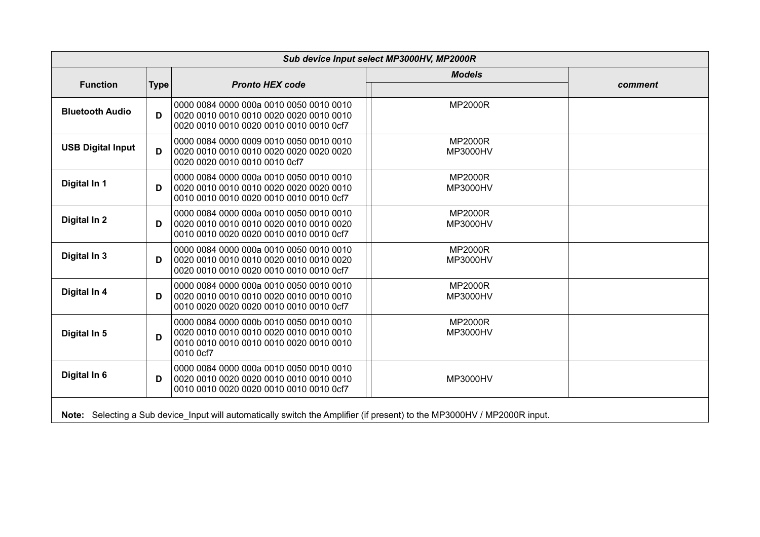|                          |             |                                                                                                                               | Sub device Input select MP3000HV, MP2000R |         |
|--------------------------|-------------|-------------------------------------------------------------------------------------------------------------------------------|-------------------------------------------|---------|
|                          |             |                                                                                                                               | <b>Models</b>                             |         |
| <b>Function</b>          | <b>Type</b> | <b>Pronto HEX code</b>                                                                                                        |                                           | comment |
| <b>Bluetooth Audio</b>   | D           | 0000 0084 0000 000a 0010 0050 0010 0010<br>0020 0010 0010 0020 0010 0010 0010 0cf7                                            | <b>MP2000R</b>                            |         |
| <b>USB Digital Input</b> | D           | 0000 0084 0000 0009 0010 0050 0010 0010<br>0020 0020 0010 0010 0010 0cf7                                                      | <b>MP2000R</b><br>MP3000HV                |         |
| Digital In 1             | D           | 0000 0084 0000 000a 0010 0050 0010 0010<br>0020 0010 0010 0010 0020 0020 0020 0010<br>0010 0010 0010 0020 0010 0010 0010 0cf7 | <b>MP2000R</b><br><b>MP3000HV</b>         |         |
| Digital In 2             | D           | 0000 0084 0000 000a 0010 0050 0010 0010<br>0020 0010 0010 0010 0020 0010 0010 0020<br>0010 0010 0020 0020 0010 0010 0010 0cf7 | <b>MP2000R</b><br>MP3000HV                |         |
| Digital In 3             | D           | 0000 0084 0000 000a 0010 0050 0010 0010<br>0020 0010 0010 0010 0020 0010 0010 0020<br>0020 0010 0010 0020 0010 0010 0010 0cf7 | <b>MP2000R</b><br>MP3000HV                |         |
| Digital In 4             | D           | 0000 0084 0000 000a 0010 0050 0010 0010<br>0010 0020 0020 0020 0010 0010 0010 0cf7                                            | <b>MP2000R</b><br>MP3000HV                |         |
| Digital In 5             | D           | 0000 0084 0000 000b 0010 0050 0010 0010<br>0010 0cf7                                                                          | <b>MP2000R</b><br>MP3000HV                |         |
| Digital In 6             | D           | 0000 0084 0000 000a 0010 0050 0010 0010<br>0010 0010 0020 0020 0010 0010 0010 0cf7                                            | MP3000HV                                  |         |
|                          |             | Note: Selecting a Sub device Input will automatically switch the Amplifier (if present) to the MP3000HV / MP2000R input.      |                                           |         |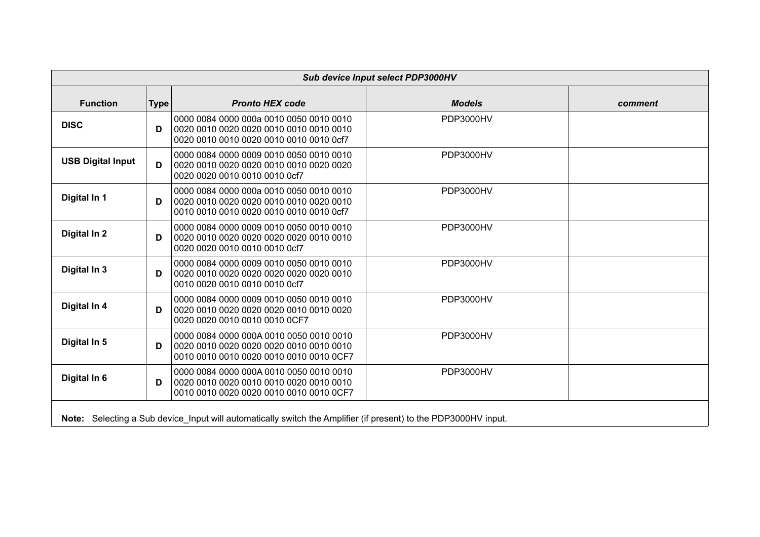|                          | Sub device Input select PDP3000HV |                                                                                                                               |               |         |  |  |
|--------------------------|-----------------------------------|-------------------------------------------------------------------------------------------------------------------------------|---------------|---------|--|--|
| <b>Function</b>          | <b>Type</b>                       | <b>Pronto HEX code</b>                                                                                                        | <b>Models</b> | comment |  |  |
| <b>DISC</b>              | D                                 | 0000 0084 0000 000a 0010 0050 0010 0010<br>0020 0010 0010 0020 0010 0010 0010 0cf7                                            | PDP3000HV     |         |  |  |
| <b>USB Digital Input</b> | D                                 | 0000 0084 0000 0009 0010 0050 0010 0010<br>0020 0020 0010 0010 0010 0cf7                                                      | PDP3000HV     |         |  |  |
| Digital In 1             | D                                 | 0000 0084 0000 000a 0010 0050 0010 0010<br>0020 0010 0020 0020 0010 0010 0020 0010<br>0010 0010 0010 0020 0010 0010 0010 0cf7 | PDP3000HV     |         |  |  |
| Digital In 2             | D                                 | 0000 0084 0000 0009 0010 0050 0010 0010<br>0020 0020 0010 0010 0010 0cf7                                                      | PDP3000HV     |         |  |  |
| Digital In 3             | D                                 | 0000 0084 0000 0009 0010 0050 0010 0010<br>0020 0010 0020 0020 0020 0020 0020 0010<br>0010 0020 0010 0010 0010 0cf7           | PDP3000HV     |         |  |  |
| Digital In 4             | D                                 | 0000 0084 0000 0009 0010 0050 0010 0010<br>0020 0010 0020 0020 0020 0010 0010 0020<br>0020 0020 0010 0010 0010 0CF7           | PDP3000HV     |         |  |  |
| Digital In 5             | D                                 | 0000 0084 0000 000A 0010 0050 0010 0010<br>0010 0010 0010 0020 0010 0010 0010 0CF7                                            | PDP3000HV     |         |  |  |
| Digital In 6             | D                                 | 0000 0084 0000 000A 0010 0050 0010 0010<br>0010 0010 0020 0020 0010 0010 0010 0CF7                                            | PDP3000HV     |         |  |  |
|                          |                                   | Note: Selecting a Sub device_Input will automatically switch the Amplifier (if present) to the PDP3000HV input.               |               |         |  |  |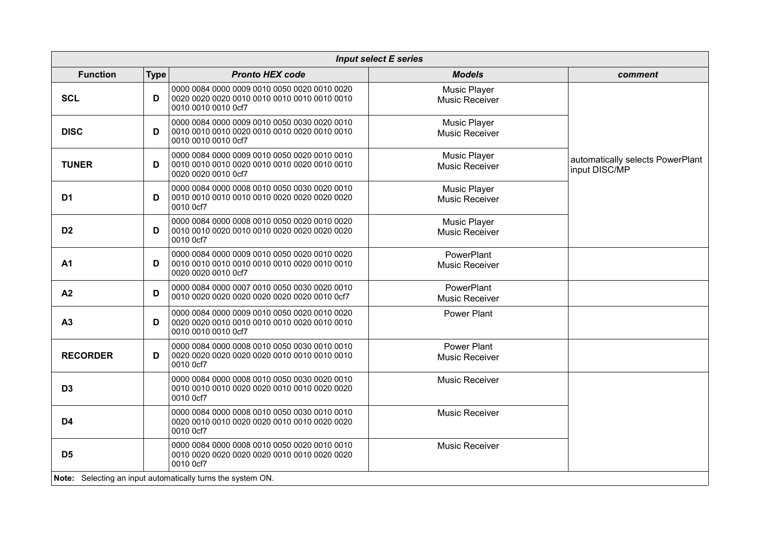|                 | <b>Input select E series</b> |                                                                                                                     |                                              |                                                   |  |  |  |
|-----------------|------------------------------|---------------------------------------------------------------------------------------------------------------------|----------------------------------------------|---------------------------------------------------|--|--|--|
| <b>Function</b> | <b>Type</b>                  | <b>Pronto HEX code</b>                                                                                              | <b>Models</b>                                | comment                                           |  |  |  |
| <b>SCL</b>      | D                            | 0000 0084 0000 0009 0010 0050 0020 0010 0020<br>0010 0010 0010 0cf7                                                 | <b>Music Player</b><br><b>Music Receiver</b> |                                                   |  |  |  |
| <b>DISC</b>     | D                            | 0000 0084 0000 0009 0010 0050 0030 0020 0010<br>0010 0010 0010 0020 0010 0010 0020 0010 0010<br>0010 0010 0010 0cf7 | <b>Music Player</b><br><b>Music Receiver</b> |                                                   |  |  |  |
| <b>TUNER</b>    | D                            | 0000 0084 0000 0009 0010 0050 0020 0010 0010<br>0010 0010 0010 0020 0010 0010 0020 0010 0010<br>0020 0020 0010 0cf7 | <b>Music Player</b><br><b>Music Receiver</b> | automatically selects PowerPlant<br>input DISC/MP |  |  |  |
| D <sub>1</sub>  | D                            | 0000 0084 0000 0008 0010 0050 0030 0020 0010<br>0010 0cf7                                                           | <b>Music Player</b><br><b>Music Receiver</b> |                                                   |  |  |  |
| D <sub>2</sub>  | D                            | 0000 0084 0000 0008 0010 0050 0020 0010 0020<br>0010 0cf7                                                           | <b>Music Player</b><br><b>Music Receiver</b> |                                                   |  |  |  |
| <b>A1</b>       | D                            | 0000 0084 0000 0009 0010 0050 0020 0010 0020<br>0010 0010 0010 0010 0010 0010 0020 0010 0010<br>0020 0020 0010 0cf7 | PowerPlant<br><b>Music Receiver</b>          |                                                   |  |  |  |
| A2              | D                            | 0000 0084 0000 0007 0010 0050 0030 0020 0010<br>0010 0020 0020 0020 0020 0020 0020 0010 0cf7                        | PowerPlant<br><b>Music Receiver</b>          |                                                   |  |  |  |
| A3              | D                            | 0000 0084 0000 0009 0010 0050 0020 0010 0020<br>0020 0020 0010 0010 0010 0010 0020 0010 0010<br>0010 0010 0010 0cf7 | <b>Power Plant</b>                           |                                                   |  |  |  |
| <b>RECORDER</b> | D                            | 0000 0084 0000 0008 0010 0050 0030 0010 0010<br>0010 0cf7                                                           | <b>Power Plant</b><br><b>Music Receiver</b>  |                                                   |  |  |  |
| D <sub>3</sub>  |                              | 0000 0084 0000 0008 0010 0050 0030 0020 0010<br>0010 0010 0010 0020 0020 0010 0010 0020 0020<br>0010 0cf7           | <b>Music Receiver</b>                        |                                                   |  |  |  |
| D <sub>4</sub>  |                              | 0000 0084 0000 0008 0010 0050 0030 0010 0010<br>0020 0010 0010 0020 0020 0010 0010 0020 0020<br>0010 0cf7           | <b>Music Receiver</b>                        |                                                   |  |  |  |
| D <sub>5</sub>  |                              | 0000 0084 0000 0008 0010 0050 0020 0010 0010<br>0010 0020 0020 0020 0020 0010 0010 0020 0020<br>0010 0cf7           | <b>Music Receiver</b>                        |                                                   |  |  |  |
|                 |                              | Note: Selecting an input automatically turns the system ON.                                                         |                                              |                                                   |  |  |  |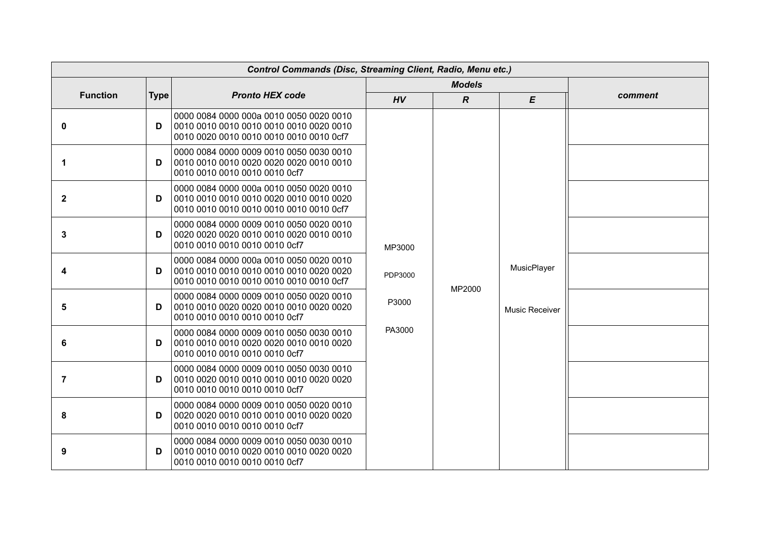| <b>Control Commands (Disc, Streaming Client, Radio, Menu etc.)</b> |             |                                                                                                                               |                                      |                  |             |         |  |  |  |  |  |  |  |  |                |  |
|--------------------------------------------------------------------|-------------|-------------------------------------------------------------------------------------------------------------------------------|--------------------------------------|------------------|-------------|---------|--|--|--|--|--|--|--|--|----------------|--|
|                                                                    |             |                                                                                                                               |                                      | <b>Models</b>    |             |         |  |  |  |  |  |  |  |  |                |  |
| <b>Function</b>                                                    | <b>Type</b> | <b>Pronto HEX code</b>                                                                                                        | HV                                   | $\boldsymbol{R}$ | E           | comment |  |  |  |  |  |  |  |  |                |  |
| $\mathbf 0$                                                        | D           | 0000 0084 0000 000a 0010 0050 0020 0010<br>0010 0010 0010 0010 0010 0010 0020 0010<br>0010 0020 0010 0010 0010 0010 0010 0cf7 |                                      |                  |             |         |  |  |  |  |  |  |  |  |                |  |
| 1                                                                  | D           | 0000 0084 0000 0009 0010 0050 0030 0010<br>0010 0010 0010 0010 0010 0cf7                                                      | MP3000<br>PDP3000<br>P3000<br>PA3000 |                  |             |         |  |  |  |  |  |  |  |  |                |  |
| $\mathbf{2}$                                                       | D           | 0000 0084 0000 000a 0010 0050 0020 0010<br>0010 0010 0010 0010 0020 0010 0010 0020<br>0010 0010 0010 0010 0010 0010 0010 0cf7 |                                      |                  |             |         |  |  |  |  |  |  |  |  |                |  |
| 3                                                                  | D           | 0000 0084 0000 0009 0010 0050 0020 0010<br>0010 0010 0010 0010 0010 0cf7                                                      |                                      |                  |             |         |  |  |  |  |  |  |  |  |                |  |
| 4                                                                  | D           | 0000 0084 0000 000a 0010 0050 0020 0010<br>0010 0010 0010 0010 0010 0010 0010 0cf7                                            |                                      | MP2000           | MusicPlayer |         |  |  |  |  |  |  |  |  |                |  |
| 5                                                                  | D           | 0000 0084 0000 0009 0010 0050 0020 0010<br>0010 0010 0010 0010 0010 0cf7                                                      |                                      |                  |             |         |  |  |  |  |  |  |  |  | Music Receiver |  |
| 6                                                                  | D           | 0000 0084 0000 0009 0010 0050 0030 0010<br>0010 0010 0010 0020 0020 0010 0010 0020<br>0010 0010 0010 0010 0010 0cf7           |                                      |                  |             |         |  |  |  |  |  |  |  |  |                |  |
| $\overline{7}$                                                     | D           | 0000 0084 0000 0009 0010 0050 0030 0010<br>0010 0010 0010 0010 0010 0cf7                                                      |                                      |                  |             |         |  |  |  |  |  |  |  |  |                |  |
| 8                                                                  | D           | 0000 0084 0000 0009 0010 0050 0020 0010<br>0010 0010 0010 0010 0010 0cf7                                                      |                                      |                  |             |         |  |  |  |  |  |  |  |  |                |  |
| 9                                                                  | D           | 0000 0084 0000 0009 0010 0050 0030 0010<br>0010 0010 0010 0010 0010 0cf7                                                      |                                      |                  |             |         |  |  |  |  |  |  |  |  |                |  |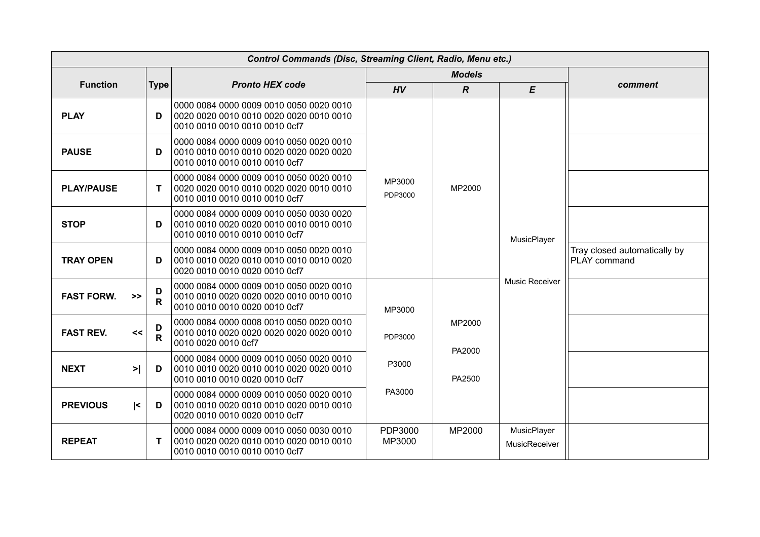| <b>Control Commands (Disc, Streaming Client, Radio, Menu etc.)</b> |                   |                                                                                                                     |                   |                  |                              |                                              |  |
|--------------------------------------------------------------------|-------------------|---------------------------------------------------------------------------------------------------------------------|-------------------|------------------|------------------------------|----------------------------------------------|--|
|                                                                    |                   |                                                                                                                     |                   | <b>Models</b>    |                              |                                              |  |
| <b>Function</b>                                                    | <b>Type</b>       | <b>Pronto HEX code</b>                                                                                              | HV                | $\overline{R}$   | $\boldsymbol{\mathsf{E}}$    | comment                                      |  |
| <b>PLAY</b>                                                        | D                 | 0000 0084 0000 0009 0010 0050 0020 0010<br>0010 0010 0010 0010 0010 0cf7                                            |                   |                  |                              |                                              |  |
| <b>PAUSE</b>                                                       | D                 | 0000 0084 0000 0009 0010 0050 0020 0010<br>0010 0010 0010 0010 0010 0cf7                                            |                   |                  |                              |                                              |  |
| <b>PLAY/PAUSE</b>                                                  | T                 | 0000 0084 0000 0009 0010 0050 0020 0010<br>0010 0010 0010 0010 0010 0cf7                                            | MP3000<br>PDP3000 | MP2000           |                              |                                              |  |
| <b>STOP</b>                                                        | D                 | 0000 0084 0000 0009 0010 0050 0030 0020<br>0010 0010 0010 0010 0010 0cf7                                            |                   |                  | MusicPlayer                  |                                              |  |
| <b>TRAY OPEN</b>                                                   | D                 | 0000 0084 0000 0009 0010 0050 0020 0010<br>0010 0010 0020 0010 0010 0010 0010 0020<br>0020 0010 0010 0020 0010 0cf7 |                   |                  |                              | Tray closed automatically by<br>PLAY command |  |
| <b>FAST FORW.</b><br>>>                                            | D<br>$\mathsf{R}$ | 0000 0084 0000 0009 0010 0050 0020 0010<br>0010 0010 0010 0020 0010 0cf7                                            | MP3000            |                  | Music Receiver               |                                              |  |
| <b>FAST REV.</b><br><<                                             | D<br>R            | 0000 0084 0000 0008 0010 0050 0020 0010<br>0010 0010 0020 0020 0020 0020 0020 0010<br>0010 0020 0010 0cf7           | PDP3000           | MP2000           |                              |                                              |  |
| <b>NEXT</b><br>$>$                                                 | D                 | 0000 0084 0000 0009 0010 0050 0020 0010<br>0010 0010 0020 0010 0010 0020 0020 0010<br>0010 0010 0010 0020 0010 0cf7 | P3000             | PA2000<br>PA2500 |                              |                                              |  |
| <b>PREVIOUS</b><br>$\leq$                                          | D                 | 0000 0084 0000 0009 0010 0050 0020 0010<br>0020 0010 0010 0020 0010 0cf7                                            | PA3000            |                  |                              |                                              |  |
| <b>REPEAT</b>                                                      | T                 | 0000 0084 0000 0009 0010 0050 0030 0010<br>0010 0010 0010 0010 0010 0cf7                                            | PDP3000<br>MP3000 | MP2000           | MusicPlayer<br>MusicReceiver |                                              |  |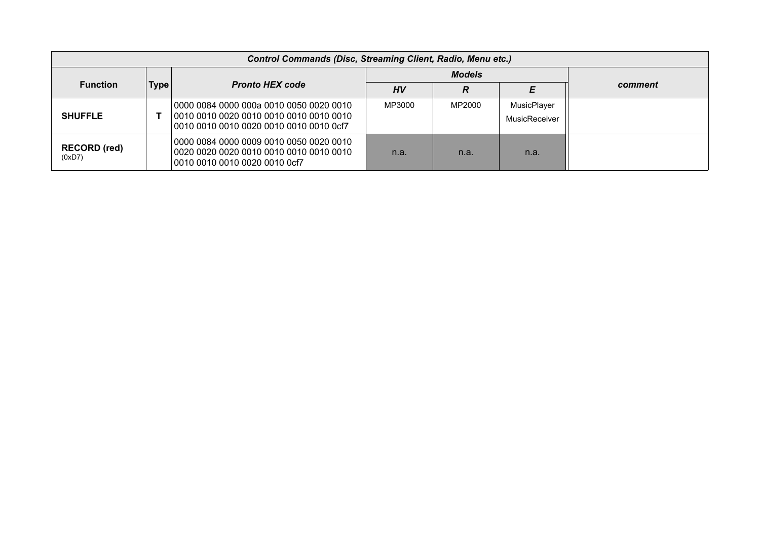| <b>Control Commands (Disc, Streaming Client, Radio, Menu etc.)</b> |             |                                                                                    |               |        |                              |         |  |
|--------------------------------------------------------------------|-------------|------------------------------------------------------------------------------------|---------------|--------|------------------------------|---------|--|
|                                                                    |             |                                                                                    | <b>Models</b> |        |                              |         |  |
| <b>Function</b>                                                    | <b>Type</b> | <b>Pronto HEX code</b>                                                             | HV            | R      | E                            | comment |  |
| <b>SHUFFLE</b>                                                     |             | 0000 0084 0000 000a 0010 0050 0020 0010<br>0010 0010 0010 0020 0010 0010 0010 0cf7 | MP3000        | MP2000 | MusicPlayer<br>MusicReceiver |         |  |
| <b>RECORD</b> (red)<br>(0xD7)                                      |             | 0000 0084 0000 0009 0010 0050 0020 0010<br>0010 0010 0010 0020 0010 0cf7           | n.a.          | n.a.   | n.a.                         |         |  |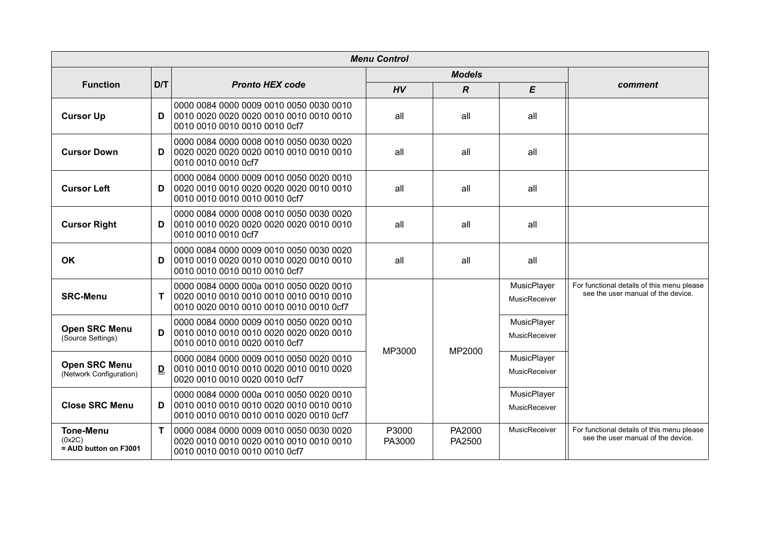| <b>Menu Control</b>                                 |              |                                                                                                                     |                  |                  |                              |                                                                                  |  |
|-----------------------------------------------------|--------------|---------------------------------------------------------------------------------------------------------------------|------------------|------------------|------------------------------|----------------------------------------------------------------------------------|--|
|                                                     |              |                                                                                                                     |                  | <b>Models</b>    |                              |                                                                                  |  |
| <b>Function</b>                                     | D/T          | <b>Pronto HEX code</b>                                                                                              | HV               | $\overline{R}$   | E                            | comment                                                                          |  |
| <b>Cursor Up</b>                                    | D            | 0000 0084 0000 0009 0010 0050 0030 0010<br>0010 0010 0010 0010 0010 0cf7                                            | all              | all              | all                          |                                                                                  |  |
| <b>Cursor Down</b>                                  | D            | 0000 0084 0000 0008 0010 0050 0030 0020<br>0010 0010 0010 0cf7                                                      | all              | all              | all                          |                                                                                  |  |
| <b>Cursor Left</b>                                  | D            | 0000 0084 0000 0009 0010 0050 0020 0010<br>0010 0010 0010 0010 0010 0cf7                                            | all              | all              | all                          |                                                                                  |  |
| <b>Cursor Right</b>                                 | D            | 0000 0084 0000 0008 0010 0050 0030 0020<br>0010 0010 0010 0cf7                                                      | all              | all              | all                          |                                                                                  |  |
| OK                                                  | D            | 0000 0084 0000 0009 0010 0050 0030 0020<br>0010 0010 0010 0010 0010 0cf7                                            | all              | all              | all                          |                                                                                  |  |
| <b>SRC-Menu</b>                                     | T            | 0000 0084 0000 000a 0010 0050 0020 0010<br>0010 0020 0010 0010 0010 0010 0010 0cf7                                  |                  |                  | MusicPlayer<br>MusicReceiver | For functional details of this menu please<br>see the user manual of the device. |  |
| <b>Open SRC Menu</b><br>(Source Settings)           | D            | 0000 0084 0000 0009 0010 0050 0020 0010<br>0010 0010 0010 0010 0020 0020 0020 0010<br>0010 0010 0010 0020 0010 0cf7 | MP3000<br>MP2000 |                  | MusicPlayer<br>MusicReceiver |                                                                                  |  |
| <b>Open SRC Menu</b><br>(Network Configuration)     | $\mathbf{D}$ | 0000 0084 0000 0009 0010 0050 0020 0010<br>0010 0010 0010 0010 0020 0010 0010 0020<br>0020 0010 0010 0020 0010 0cf7 |                  |                  |                              | MusicPlayer<br>MusicReceiver                                                     |  |
| <b>Close SRC Menu</b>                               | D            | 0000 0084 0000 000a 0010 0050 0020 0010<br>0010 0010 0010 0010 0010 0020 0010 0cf7                                  |                  |                  | MusicPlayer<br>MusicReceiver |                                                                                  |  |
| <b>Tone-Menu</b><br>(0x2C)<br>= AUD button on F3001 | T            | 0000 0084 0000 0009 0010 0050 0030 0020<br>0010 0010 0010 0010 0010 0cf7                                            | P3000<br>PA3000  | PA2000<br>PA2500 | MusicReceiver                | For functional details of this menu please<br>see the user manual of the device. |  |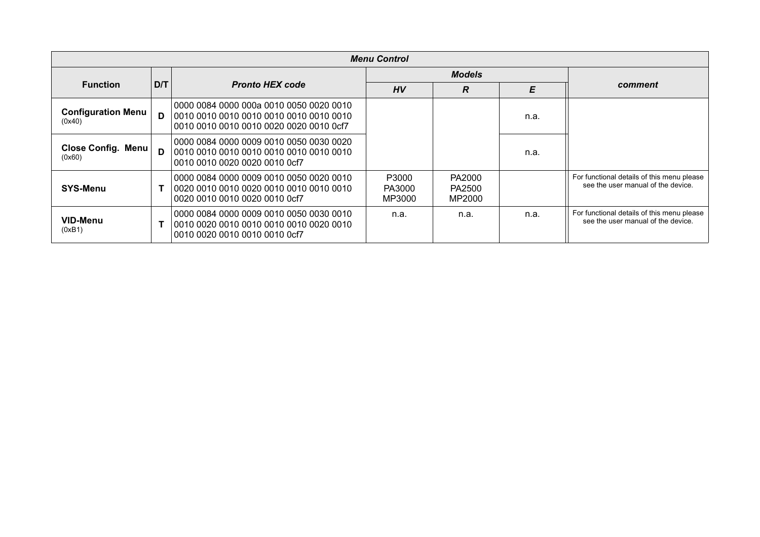| <b>Menu Control</b>                 |     |                                                                                                                               |                           |                            |      |                                                                                  |  |
|-------------------------------------|-----|-------------------------------------------------------------------------------------------------------------------------------|---------------------------|----------------------------|------|----------------------------------------------------------------------------------|--|
|                                     |     |                                                                                                                               |                           | <b>Models</b>              |      |                                                                                  |  |
| <b>Function</b>                     | D/T | <b>Pronto HEX code</b>                                                                                                        | HV                        | R                          | E    | comment                                                                          |  |
| <b>Configuration Menu</b><br>(0x40) | D   | 0000 0084 0000 000a 0010 0050 0020 0010<br>0010 0010 0010 0010 0010 0010 0010 0010<br>0010 0010 0010 0010 0020 0020 0010 0cf7 |                           |                            | n.a. |                                                                                  |  |
| Close Config. Menu<br>(0x60)        | D   | 0000 0084 0000 0009 0010 0050 0030 0020  <br>0010 0010 0010 0010 0010 0010 0010 0010<br>0010 0010 0020 0020 0010 0cf7         |                           |                            | n.a. |                                                                                  |  |
| <b>SYS-Menu</b>                     |     | 0000 0084 0000 0009 0010 0050 0020 0010<br>0020 0010 0010 0020 0010 0cf7                                                      | P3000<br>PA3000<br>MP3000 | PA2000<br>PA2500<br>MP2000 |      | For functional details of this menu please<br>see the user manual of the device. |  |
| VID-Menu<br>(0xB1)                  |     | 0000 0084 0000 0009 0010 0050 0030 0010<br>0010 0020 0010 0010 0010 0010 0020 0010<br>0010 0020 0010 0010 0010 0cf7           | n.a.                      | n.a.                       | n.a. | For functional details of this menu please<br>see the user manual of the device. |  |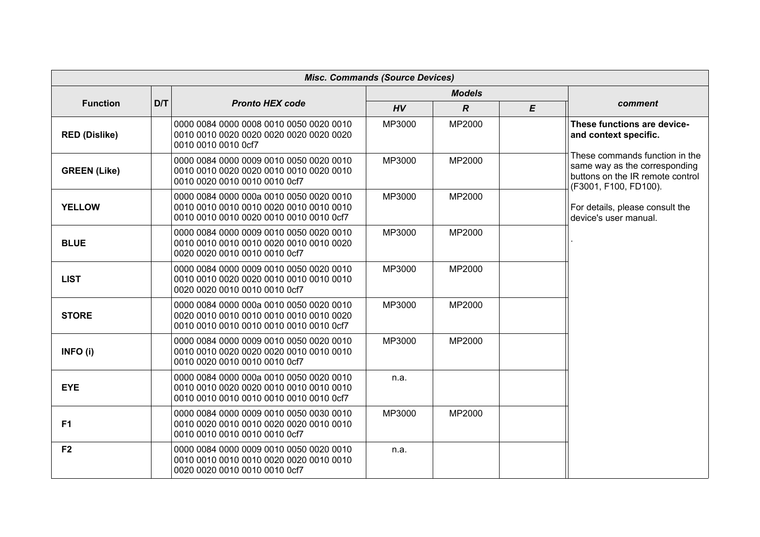|                      |     |                                                                                                                               | <b>Misc. Commands (Source Devices)</b> |                  |   |                                                                                                                              |
|----------------------|-----|-------------------------------------------------------------------------------------------------------------------------------|----------------------------------------|------------------|---|------------------------------------------------------------------------------------------------------------------------------|
|                      |     |                                                                                                                               |                                        | <b>Models</b>    |   |                                                                                                                              |
| <b>Function</b>      | D/T | <b>Pronto HEX code</b>                                                                                                        | HV                                     | $\boldsymbol{R}$ | E | comment                                                                                                                      |
| <b>RED (Dislike)</b> |     | 0000 0084 0000 0008 0010 0050 0020 0010<br>0010 0010 0010 0cf7                                                                | MP3000                                 | MP2000           |   | These functions are device-<br>and context specific.                                                                         |
| <b>GREEN (Like)</b>  |     | 0000 0084 0000 0009 0010 0050 0020 0010<br>0010 0010 0020 0020 0010 0010 0020 0010<br>0010 0020 0010 0010 0010 0cf7           | MP3000                                 | MP2000           |   | These commands function in the<br>same way as the corresponding<br>buttons on the IR remote control<br>(F3001, F100, FD100). |
| <b>YELLOW</b>        |     | 0000 0084 0000 000a 0010 0050 0020 0010<br>0010 0010 0010 0020 0010 0010 0010 0cf7                                            | MP3000                                 | MP2000           |   | For details, please consult the<br>device's user manual.                                                                     |
| <b>BLUE</b>          |     | 0000 0084 0000 0009 0010 0050 0020 0010<br>0010 0010 0010 0010 0020 0010 0010 0020<br>0020 0020 0010 0010 0010 0cf7           | MP3000                                 | MP2000           |   |                                                                                                                              |
| <b>LIST</b>          |     | 0000 0084 0000 0009 0010 0050 0020 0010<br>0020 0020 0010 0010 0010 0cf7                                                      | MP3000                                 | MP2000           |   |                                                                                                                              |
| <b>STORE</b>         |     | 0000 0084 0000 000a 0010 0050 0020 0010<br>0020 0010 0010 0010 0010 0010 0010 0020<br>0010 0010 0010 0010 0010 0010 0010 0cf7 | MP3000                                 | MP2000           |   |                                                                                                                              |
| INFO (i)             |     | 0000 0084 0000 0009 0010 0050 0020 0010<br>0010 0020 0010 0010 0010 0cf7                                                      | MP3000                                 | MP2000           |   |                                                                                                                              |
| <b>EYE</b>           |     | 0000 0084 0000 000a 0010 0050 0020 0010<br>0010 0010 0010 0010 0010 0010 0010 0cf7                                            | n.a.                                   |                  |   |                                                                                                                              |
| F1                   |     | 0000 0084 0000 0009 0010 0050 0030 0010<br>0010 0010 0010 0010 0010 0cf7                                                      | MP3000                                 | MP2000           |   |                                                                                                                              |
| F <sub>2</sub>       |     | 0000 0084 0000 0009 0010 0050 0020 0010<br>0020 0020 0010 0010 0010 0cf7                                                      | n.a.                                   |                  |   |                                                                                                                              |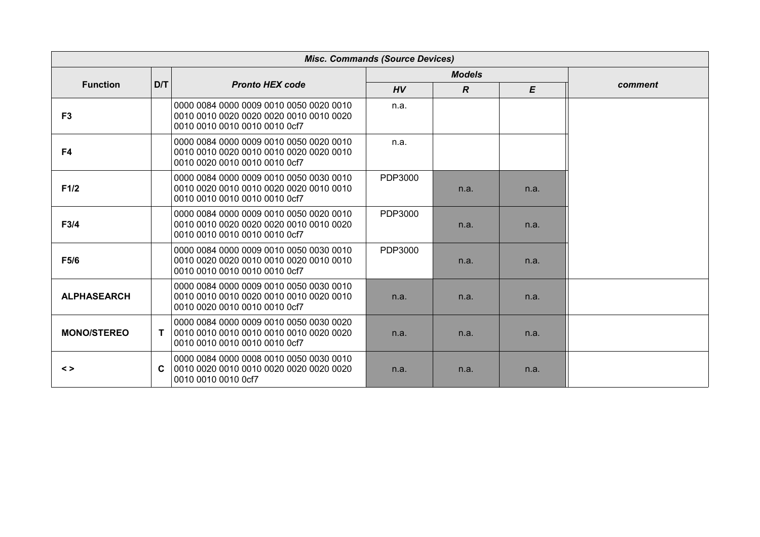|                    | <b>Misc. Commands (Source Devices)</b> |                                                                                                                     |         |                |      |         |  |
|--------------------|----------------------------------------|---------------------------------------------------------------------------------------------------------------------|---------|----------------|------|---------|--|
|                    |                                        |                                                                                                                     |         | <b>Models</b>  |      |         |  |
| <b>Function</b>    | D/T                                    | <b>Pronto HEX code</b>                                                                                              | HV      | $\overline{R}$ | E    | comment |  |
| F <sub>3</sub>     |                                        | 0000 0084 0000 0009 0010 0050 0020 0010<br>0010 0010 0020 0020 0020 0010 0010 0020<br>0010 0010 0010 0010 0010 0cf7 | n.a.    |                |      |         |  |
| F4                 |                                        | 0000 0084 0000 0009 0010 0050 0020 0010<br>0010 0010 0020 0010 0010 0020 0020 0010<br>0010 0020 0010 0010 0010 0cf7 | n.a.    |                |      |         |  |
| F1/2               |                                        | 0000 0084 0000 0009 0010 0050 0030 0010<br>0010 0010 0010 0010 0010 0cf7                                            | PDP3000 | n.a.           | n.a. |         |  |
| F3/4               |                                        | 0000 0084 0000 0009 0010 0050 0020 0010<br>0010 0010 0020 0020 0020 0010 0010 0020<br>0010 0010 0010 0010 0010 0cf7 | PDP3000 | n.a.           | n.a. |         |  |
| F5/6               |                                        | 0000 0084 0000 0009 0010 0050 0030 0010<br>0010 0010 0010 0010 0010 0cf7                                            | PDP3000 | n.a.           | n.a. |         |  |
| <b>ALPHASEARCH</b> |                                        | 0000 0084 0000 0009 0010 0050 0030 0010<br>0010 0010 0010 0020 0010 0010 0020 0010<br>0010 0020 0010 0010 0010 0cf7 | n.a.    | n.a.           | n.a. |         |  |
| <b>MONO/STEREO</b> | $\mathbf{T}$                           | 0000 0084 0000 0009 0010 0050 0030 0020<br>0010 0010 0010 0010 0010 0cf7                                            | n.a.    | n.a.           | n.a. |         |  |
| $\leq$             | C                                      | 0000 0084 0000 0008 0010 0050 0030 0010<br>0010 0010 0010 0cf7                                                      | n.a.    | n.a.           | n.a. |         |  |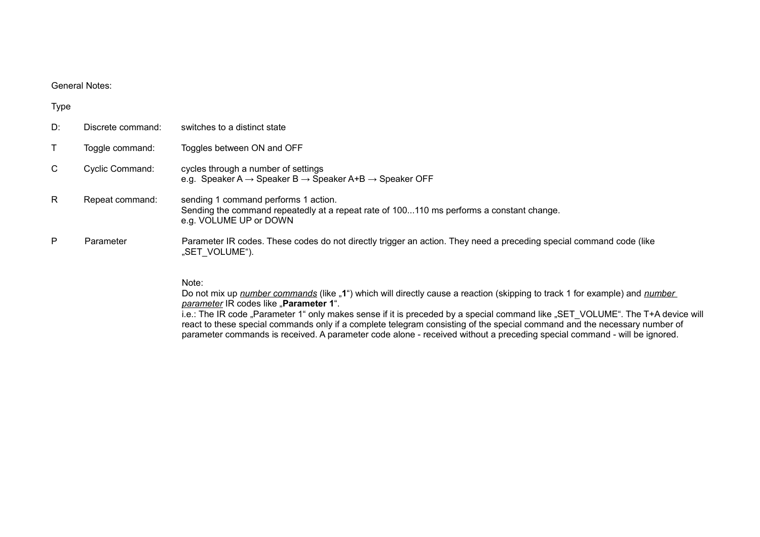### General Notes:

| <b>Type</b>  |                   |                                                                                                                                                                                             |
|--------------|-------------------|---------------------------------------------------------------------------------------------------------------------------------------------------------------------------------------------|
| D:           | Discrete command: | switches to a distinct state                                                                                                                                                                |
|              | Toggle command:   | Toggles between ON and OFF                                                                                                                                                                  |
| $\mathsf{C}$ | Cyclic Command:   | cycles through a number of settings<br>e.g. Speaker A $\rightarrow$ Speaker B $\rightarrow$ Speaker A+B $\rightarrow$ Speaker OFF                                                           |
| R.           | Repeat command:   | sending 1 command performs 1 action.<br>Sending the command repeatedly at a repeat rate of 100110 ms performs a constant change.<br>e.g. VOLUME UP or DOWN                                  |
| P            | Parameter         | Parameter IR codes. These codes do not directly trigger an action. They need a preceding special command code (like<br>"SET VOLUME").                                                       |
|              |                   | Note:<br>Do not mix up <i>number commands</i> (like "1") which will directly cause a reaction (skipping to track 1 for example) and <i>number</i><br>parameter IR codes like "Parameter 1". |

i.e.: The IR code "Parameter 1" only makes sense if it is preceded by a special command like "SET\_VOLUME". The T+A device will react to these special commands only if a complete telegram consisting of the special command and the necessary number of parameter commands is received. A parameter code alone - received without a preceding special command - will be ignored.